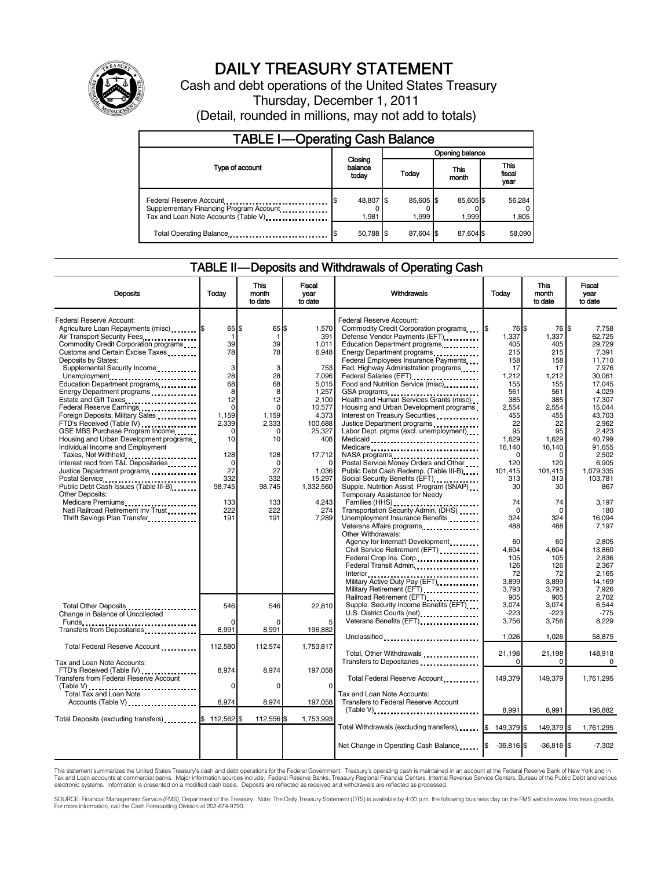

# DAILY TREASURY STATEMENT

Cash and debt operations of the United States Treasury Thursday, December 1, 2011 (Detail, rounded in millions, may not add to totals)

| <b>TABLE I-Operating Cash Balance</b>                                                                       |                             |                    |                    |                               |  |  |
|-------------------------------------------------------------------------------------------------------------|-----------------------------|--------------------|--------------------|-------------------------------|--|--|
|                                                                                                             |                             | Opening balance    |                    |                               |  |  |
| Type of account                                                                                             | Closing<br>balance<br>today | Today              | This<br>month      | <b>This</b><br>fiscal<br>year |  |  |
| Federal Reserve Account<br>Supplementary Financing Program Account<br>Tax and Loan Note Accounts (Table V). | 48,807 \$<br>1.981          | 85,605 \$<br>1.999 | 85,605 \$<br>1.999 | 56,284<br>1,805               |  |  |
| Total Operating Balance                                                                                     | 50,788 \$                   | 87.604 \$          | 87.604 \$          | 58,090                        |  |  |

### TABLE II — Deposits and Withdrawals of Operating Cash

| <b>Deposits</b>                                                                                  | Todav             | <b>This</b><br>month<br>to date | <b>Fiscal</b><br>vear<br>to date | Withdrawals                                                                                            | Today                 | <b>This</b><br>month<br>to date | <b>Fiscal</b><br>vear<br>to date |
|--------------------------------------------------------------------------------------------------|-------------------|---------------------------------|----------------------------------|--------------------------------------------------------------------------------------------------------|-----------------------|---------------------------------|----------------------------------|
| Federal Reserve Account:                                                                         |                   |                                 |                                  | Federal Reserve Account:                                                                               |                       |                                 | \$                               |
| Agriculture Loan Repayments (misc) \$<br>Air Transport Security Fees                             | 65 \$<br>-1       | 65 \$<br>-1                     | 1,570<br>391                     | Commodity Credit Corporation programs<br>Defense Vendor Payments (EFT)                                 | 76 \$<br>1\$<br>1.337 | 76<br>1.337                     | 7,758<br>62.725                  |
| Commodity Credit Corporation programs                                                            | 39                | 39                              | 1,011                            | Education Department programs                                                                          | 405                   | 405                             | 29,729                           |
| Customs and Certain Excise Taxes                                                                 | 78                | 78                              | 6,948                            |                                                                                                        | 215                   | 215                             | 7,391                            |
| Deposits by States:                                                                              |                   |                                 |                                  | Federal Employees Insurance Payments                                                                   | 158                   | 158                             | 11,710                           |
| Supplemental Security Income                                                                     | 3                 | 3                               | 753                              | Fed. Highway Administration programs                                                                   | 17                    | 17                              | 7,976                            |
| Unemployment                                                                                     | 28                | 28                              | 7.096                            | Federal Salaries (EFT)                                                                                 | 1,212                 | 1,212                           | 30.061                           |
| Education Department programs                                                                    | 68                | 68                              | 5,015                            | Food and Nutrition Service (misc) [100]                                                                | 155                   | 155                             | 17,045                           |
| Energy Department programs                                                                       | 8                 | 8                               | 1,257                            | GSA programs                                                                                           | 561                   | 561                             | 4.029                            |
| Estate and Gift Taxes                                                                            | 12                | 12                              | 2,100                            | Health and Human Services Grants (misc)                                                                | 385                   | 385                             | 17,307                           |
| Federal Reserve Earnings                                                                         | $\Omega$<br>1,159 | $\Omega$<br>1,159               | 10.577<br>4,373                  | Housing and Urban Development programs                                                                 | 2.554                 | 2.554                           | 15.044                           |
| Foreign Deposits, Military Sales<br>FTD's Received (Table IV)                                    | 2,339             | 2,333                           | 100,688                          | Interest on Treasury Securities<br>Justice Department programs                                         | 455<br>22             | 455<br>22                       | 43,703<br>2,962                  |
| GSE MBS Purchase Program Income                                                                  | $\Omega$          | 0                               | 25,327                           | Labor Dept. prgms (excl. unemployment)                                                                 | 95                    | 95                              | 2,423                            |
| Housing and Urban Development programs                                                           | 10                | 10                              | 408                              |                                                                                                        | 1.629                 | 1,629                           | 40.799                           |
| Individual Income and Employment                                                                 |                   |                                 |                                  | Medicare                                                                                               | 16,140                | 16,140                          | 91,655                           |
| Taxes, Not Withheld.                                                                             | 128               | 128                             | 17,712                           | NASA programs<br>                                                                                      | ∩                     | $\Omega$                        | 2,502                            |
| Interest recd from T&L Depositaries                                                              | 0                 | $\Omega$                        | $\Omega$                         | Postal Service Money Orders and Other                                                                  | 120                   | 120                             | 6,905                            |
| Justice Department programs                                                                      | 27                | 27                              | 1,036                            | Public Debt Cash Redemp. (Table III-B)                                                                 | 101,415               | 101,415                         | 1,079,335                        |
| Postal Service<br>Public Debt Cash Issues (Table III-B)<br>The Line of Cash Issues (Table III-B) | 332               | 332                             | 15,297                           |                                                                                                        | 313                   | 313                             | 103,781                          |
|                                                                                                  | 98.745            | 98,745                          | 1,332,560                        | Supple. Nutrition Assist. Program (SNAP)                                                               | 30                    | 30                              | 867                              |
| <b>Other Deposits:</b>                                                                           |                   |                                 |                                  | Temporary Assistance for Needy                                                                         |                       |                                 |                                  |
| Medicare Premiums                                                                                | 133<br>222        | 133<br>222                      | 4,243<br>274                     | Transportation Security Admin. (DHS)                                                                   | 74                    | 74                              | 3.197                            |
| Natl Railroad Retirement Inv Trust                                                               | 191               | 191                             | 7,289                            | Unemployment Insurance Benefits                                                                        | $\Omega$<br>324       | $\mathbf 0$<br>324              | 180<br>16.094                    |
| Thrift Savings Plan Transfer                                                                     |                   |                                 |                                  | Veterans Affairs programs                                                                              | 488                   | 488                             | 7,197                            |
|                                                                                                  |                   |                                 |                                  | Other Withdrawals:                                                                                     |                       |                                 |                                  |
|                                                                                                  |                   |                                 |                                  | Agency for Internat'l Development                                                                      | 60                    | 60                              | 2,805                            |
|                                                                                                  |                   |                                 |                                  | Civil Service Retirement (EFT) [1001]                                                                  | 4.604                 | 4.604                           | 13,860                           |
|                                                                                                  |                   |                                 |                                  | Federal Crop Ins. Corp                                                                                 | 105                   | 105                             | 2,836                            |
|                                                                                                  |                   |                                 |                                  | Federal Transit Admin.                                                                                 | 126                   | 126                             | 2.367                            |
|                                                                                                  |                   |                                 |                                  |                                                                                                        | 72                    | 72                              | 2.165                            |
|                                                                                                  |                   |                                 |                                  |                                                                                                        | 3,899                 | 3.899                           | 14.169                           |
|                                                                                                  |                   |                                 |                                  | Military Retirement (EFT)                                                                              | 3,793                 | 3,793                           | 7,926                            |
|                                                                                                  |                   |                                 |                                  | Railroad Retirement (EFT)                                                                              | 905<br>3.074          | 905<br>3,074                    | 2.702<br>6.544                   |
| Total Other Deposits                                                                             | 546               | 546                             | 22,810                           | Supple. Security Income Benefits (EFT)<br>U.S. District Courts (net)<br>1997 - The Marine Courts (net) | $-223$                | $-223$                          | $-775$                           |
| Change in Balance of Uncollected                                                                 |                   |                                 | 5                                | Veterans Benefits (EFT)                                                                                | 3,756                 | 3,756                           | 8,229                            |
| Transfers from Depositaries                                                                      | 8,991             | 8,991                           | 196,882                          |                                                                                                        |                       |                                 |                                  |
|                                                                                                  |                   |                                 |                                  | Unclassified                                                                                           | 1,026                 | 1,026                           | 58,875                           |
| Total Federal Reserve Account                                                                    | 112,580           | 112,574                         | 1.753.817                        |                                                                                                        |                       |                                 |                                  |
|                                                                                                  |                   |                                 |                                  | Total, Other Withdrawals                                                                               | 21,198                | 21,198                          | 148,918                          |
| Tax and Loan Note Accounts:                                                                      |                   |                                 |                                  | Transfers to Depositaries                                                                              | $\Omega$              | 0                               | 0                                |
| FTD's Received (Table IV)                                                                        | 8,974             | 8,974                           | 197,058                          |                                                                                                        |                       |                                 |                                  |
| Transfers from Federal Reserve Account                                                           |                   |                                 |                                  | Total Federal Reserve Account                                                                          | 149,379               | 149,379                         | 1,761,295                        |
| (Table V)<br>Total Tax and Loan Note                                                             | $\mathbf 0$       | 0                               | $\mathbf 0$                      |                                                                                                        |                       |                                 |                                  |
|                                                                                                  |                   |                                 |                                  | Tax and Loan Note Accounts:                                                                            |                       |                                 |                                  |
| Accounts (Table V)                                                                               | 8,974             | 8,974                           | 197,058                          | Transfers to Federal Reserve Account                                                                   |                       |                                 |                                  |
|                                                                                                  |                   |                                 |                                  | $(Table V)$                                                                                            | 8,991                 | 8,991                           | 196,882                          |
| Total Deposits (excluding transfers) \$ 112,562 \$                                               |                   | 112,556 \$                      | 1,753,993                        |                                                                                                        |                       |                                 |                                  |
|                                                                                                  |                   |                                 |                                  | Total Withdrawals (excluding transfers) 5 149,379 \$                                                   |                       | 149,379 \$                      | 1,761,295                        |
|                                                                                                  |                   |                                 |                                  |                                                                                                        |                       |                                 |                                  |
|                                                                                                  |                   |                                 |                                  | Net Change in Operating Cash Balance                                                                   | $-36,816$ \$          | $-36,816$ \$                    | $-7,302$                         |

This statement summarizes the United States Treasury's cash and debt operations for the Federal Government. Treasury's operating cash is maintained in an account at the Federal Reserve Bank of New York and in Tax and Loan accounts at commercial banks. Major information sources include: Federal Reserve Banks, Treasury Regional Financial Centers, Internal Revenue Service Centers, Bureau of the Public Debt and various<br>electronic s

SOURCE: Financial Management Service (FMS), Department of the Treasury. Note: The Daily Treasury Statement (DTS) is available by 4:00 p.m. the following business day on the FMS website www.fms.treas.gov/dts. For more information, call the Cash Forecasting Division at 202-874-9790.